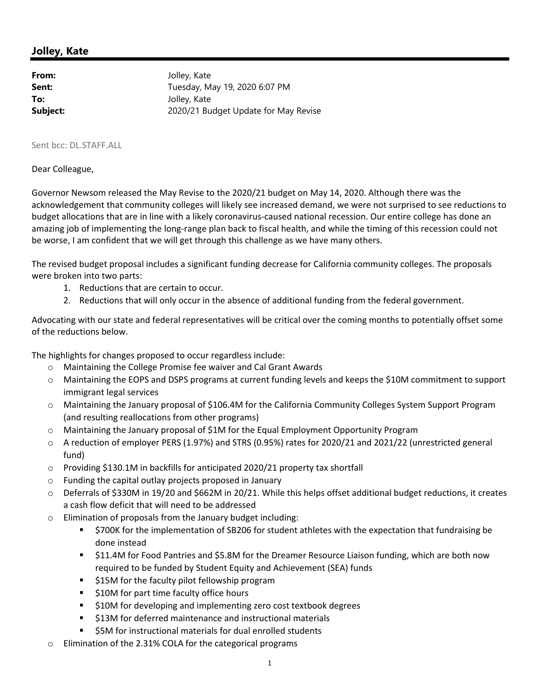## **Jolley, Kate**

| From:    | Jolley, Kate                         |
|----------|--------------------------------------|
| Sent:    | Tuesday, May 19, 2020 6:07 PM        |
| To:      | Jolley, Kate                         |
| Subject: | 2020/21 Budget Update for May Revise |

## Sent bcc: DL.STAFF.ALL

## Dear Colleague,

Governor Newsom released the May Revise to the 2020/21 budget on May 14, 2020. Although there was the acknowledgement that community colleges will likely see increased demand, we were not surprised to see reductions to budget allocations that are in line with a likely coronavirus‐caused national recession. Our entire college has done an amazing job of implementing the long-range plan back to fiscal health, and while the timing of this recession could not be worse, I am confident that we will get through this challenge as we have many others.

The revised budget proposal includes a significant funding decrease for California community colleges. The proposals were broken into two parts:

- 1. Reductions that are certain to occur.
- 2. Reductions that will only occur in the absence of additional funding from the federal government.

Advocating with our state and federal representatives will be critical over the coming months to potentially offset some of the reductions below.

The highlights for changes proposed to occur regardless include:

- o Maintaining the College Promise fee waiver and Cal Grant Awards
- o Maintaining the EOPS and DSPS programs at current funding levels and keeps the \$10M commitment to support immigrant legal services
- o Maintaining the January proposal of \$106.4M for the California Community Colleges System Support Program (and resulting reallocations from other programs)
- o Maintaining the January proposal of \$1M for the Equal Employment Opportunity Program
- o A reduction of employer PERS (1.97%) and STRS (0.95%) rates for 2020/21 and 2021/22 (unrestricted general fund)
- o Providing \$130.1M in backfills for anticipated 2020/21 property tax shortfall
- o Funding the capital outlay projects proposed in January
- o Deferrals of \$330M in 19/20 and \$662M in 20/21. While this helps offset additional budget reductions, it creates a cash flow deficit that will need to be addressed
- o Elimination of proposals from the January budget including:
	- \$700K for the implementation of SB206 for student athletes with the expectation that fundraising be done instead
	- \$11.4M for Food Pantries and \$5.8M for the Dreamer Resource Liaison funding, which are both now required to be funded by Student Equity and Achievement (SEA) funds
	- **515M for the faculty pilot fellowship program**
	- **510M for part time faculty office hours**
	- **510M for developing and implementing zero cost textbook degrees**
	- **513M for deferred maintenance and instructional materials**
	- \$5M for instructional materials for dual enrolled students
- o Elimination of the 2.31% COLA for the categorical programs